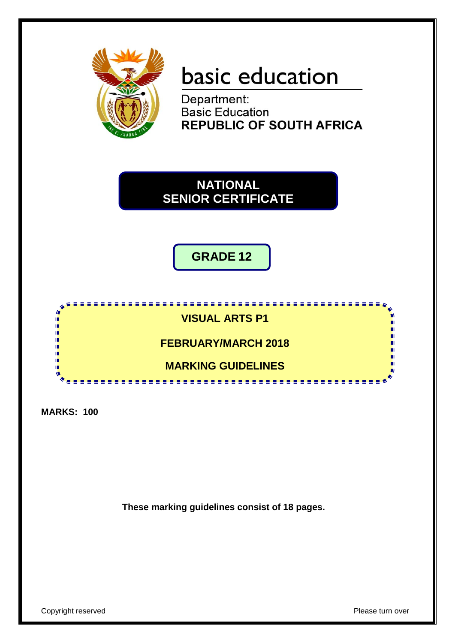

# basic education

**Department:<br>Basic Education REPUBLIC OF SOUTH AFRICA** 



**GRADE 12**



**MARKS: 100**

**These marking guidelines consist of 18 pages.**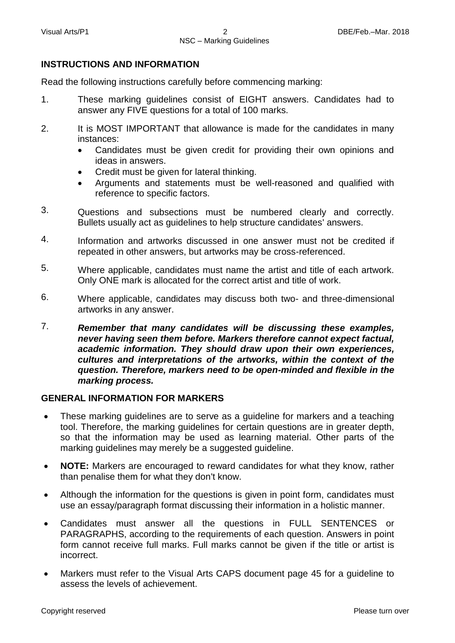## **INSTRUCTIONS AND INFORMATION**

Read the following instructions carefully before commencing marking:

- 1. These marking guidelines consist of EIGHT answers. Candidates had to answer any FIVE questions for a total of 100 marks.
- 2. It is MOST IMPORTANT that allowance is made for the candidates in many instances:
	- Candidates must be given credit for providing their own opinions and ideas in answers.
	- Credit must be given for lateral thinking.
	- Arguments and statements must be well-reasoned and qualified with reference to specific factors.
- 3. Questions and subsections must be numbered clearly and correctly. Bullets usually act as guidelines to help structure candidates' answers.
- 4. Information and artworks discussed in one answer must not be credited if repeated in other answers, but artworks may be cross-referenced.
- 5. Where applicable, candidates must name the artist and title of each artwork. Only ONE mark is allocated for the correct artist and title of work.
- 6. Where applicable, candidates may discuss both two- and three-dimensional artworks in any answer.
- 7. *Remember that many candidates will be discussing these examples, never having seen them before. Markers therefore cannot expect factual, academic information. They should draw upon their own experiences, cultures and interpretations of the artworks, within the context of the question. Therefore, markers need to be open-minded and flexible in the marking process.*

#### **GENERAL INFORMATION FOR MARKERS**

- These marking guidelines are to serve as a guideline for markers and a teaching tool. Therefore, the marking guidelines for certain questions are in greater depth, so that the information may be used as learning material. Other parts of the marking guidelines may merely be a suggested guideline.
- **NOTE:** Markers are encouraged to reward candidates for what they know, rather than penalise them for what they don't know.
- Although the information for the questions is given in point form, candidates must use an essay/paragraph format discussing their information in a holistic manner.
- Candidates must answer all the questions in FULL SENTENCES or PARAGRAPHS, according to the requirements of each question. Answers in point form cannot receive full marks. Full marks cannot be given if the title or artist is incorrect.
- Markers must refer to the Visual Arts CAPS document page 45 for a guideline to assess the levels of achievement.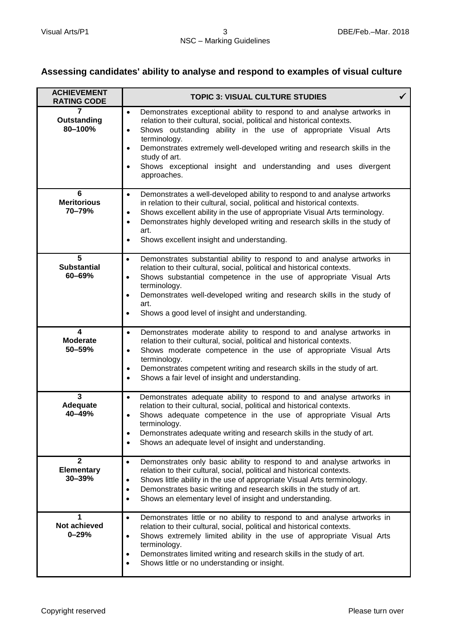## **Assessing candidates' ability to analyse and respond to examples of visual culture**

| <b>ACHIEVEMENT</b><br><b>RATING CODE</b>    | <b>TOPIC 3: VISUAL CULTURE STUDIES</b>                                                                                                                                                                                                                                                                                                                                                                                                                                |  |
|---------------------------------------------|-----------------------------------------------------------------------------------------------------------------------------------------------------------------------------------------------------------------------------------------------------------------------------------------------------------------------------------------------------------------------------------------------------------------------------------------------------------------------|--|
| 7<br>Outstanding<br>80-100%                 | Demonstrates exceptional ability to respond to and analyse artworks in<br>$\bullet$<br>relation to their cultural, social, political and historical contexts.<br>Shows outstanding ability in the use of appropriate Visual Arts<br>$\bullet$<br>terminology.<br>Demonstrates extremely well-developed writing and research skills in the<br>$\bullet$<br>study of art.<br>Shows exceptional insight and understanding and uses divergent<br>$\bullet$<br>approaches. |  |
| 6<br><b>Meritorious</b><br>70-79%           | Demonstrates a well-developed ability to respond to and analyse artworks<br>$\bullet$<br>in relation to their cultural, social, political and historical contexts.<br>Shows excellent ability in the use of appropriate Visual Arts terminology.<br>$\bullet$<br>Demonstrates highly developed writing and research skills in the study of<br>$\bullet$<br>art.<br>Shows excellent insight and understanding.<br>$\bullet$                                            |  |
| 5<br><b>Substantial</b><br>60-69%           | Demonstrates substantial ability to respond to and analyse artworks in<br>$\bullet$<br>relation to their cultural, social, political and historical contexts.<br>Shows substantial competence in the use of appropriate Visual Arts<br>$\bullet$<br>terminology.<br>Demonstrates well-developed writing and research skills in the study of<br>$\bullet$<br>art.<br>Shows a good level of insight and understanding.<br>$\bullet$                                     |  |
| 4<br><b>Moderate</b><br>50-59%              | Demonstrates moderate ability to respond to and analyse artworks in<br>$\bullet$<br>relation to their cultural, social, political and historical contexts.<br>Shows moderate competence in the use of appropriate Visual Arts<br>$\bullet$<br>terminology.<br>Demonstrates competent writing and research skills in the study of art.<br>$\bullet$<br>Shows a fair level of insight and understanding.<br>$\bullet$                                                   |  |
| $\mathbf{3}$<br>Adequate<br>40-49%          | Demonstrates adequate ability to respond to and analyse artworks in<br>$\bullet$<br>relation to their cultural, social, political and historical contexts.<br>Shows adequate competence in the use of appropriate Visual Arts<br>$\bullet$<br>terminology.<br>Demonstrates adequate writing and research skills in the study of art.<br>$\bullet$<br>Shows an adequate level of insight and understanding.<br>$\bullet$                                               |  |
| $\mathbf{2}$<br><b>Elementary</b><br>30-39% | Demonstrates only basic ability to respond to and analyse artworks in<br>$\bullet$<br>relation to their cultural, social, political and historical contexts.<br>Shows little ability in the use of appropriate Visual Arts terminology.<br>$\bullet$<br>Demonstrates basic writing and research skills in the study of art.<br>$\bullet$<br>Shows an elementary level of insight and understanding.<br>$\bullet$                                                      |  |
| 1<br><b>Not achieved</b><br>$0 - 29%$       | Demonstrates little or no ability to respond to and analyse artworks in<br>$\bullet$<br>relation to their cultural, social, political and historical contexts.<br>Shows extremely limited ability in the use of appropriate Visual Arts<br>$\bullet$<br>terminology.<br>Demonstrates limited writing and research skills in the study of art.<br>$\bullet$<br>Shows little or no understanding or insight.<br>$\bullet$                                               |  |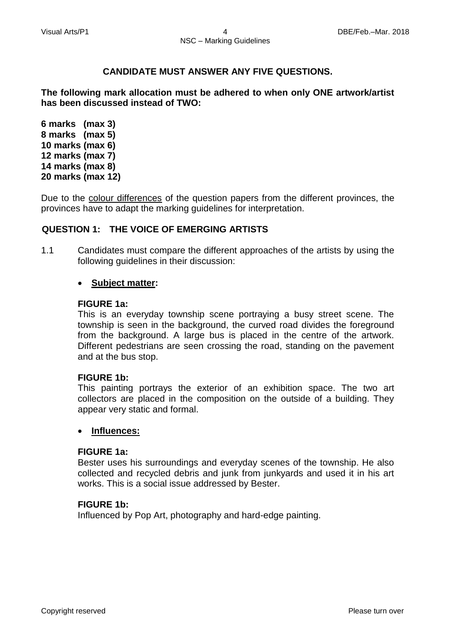## **CANDIDATE MUST ANSWER ANY FIVE QUESTIONS.**

**The following mark allocation must be adhered to when only ONE artwork/artist has been discussed instead of TWO:**

**6 marks (max 3) 8 marks (max 5) 10 marks (max 6) 12 marks (max 7) 14 marks (max 8) 20 marks (max 12)**

Due to the colour differences of the question papers from the different provinces, the provinces have to adapt the marking guidelines for interpretation.

## **QUESTION 1: THE VOICE OF EMERGING ARTISTS**

1.1 Candidates must compare the different approaches of the artists by using the following guidelines in their discussion:

#### **Subject matter:**

#### **FIGURE 1a:**

This is an everyday township scene portraying a busy street scene. The township is seen in the background, the curved road divides the foreground from the background. A large bus is placed in the centre of the artwork. Different pedestrians are seen crossing the road, standing on the pavement and at the bus stop.

#### **FIGURE 1b:**

This painting portrays the exterior of an exhibition space. The two art collectors are placed in the composition on the outside of a building. They appear very static and formal.

#### **Influences:**

#### **FIGURE 1a:**

Bester uses his surroundings and everyday scenes of the township. He also collected and recycled debris and junk from junkyards and used it in his art works. This is a social issue addressed by Bester.

#### **FIGURE 1b:**

Influenced by Pop Art, photography and hard-edge painting.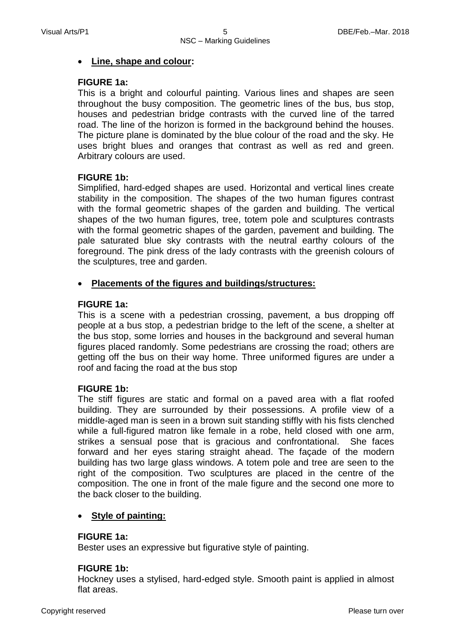#### **Line, shape and colour:**

#### **FIGURE 1a:**

This is a bright and colourful painting. Various lines and shapes are seen throughout the busy composition. The geometric lines of the bus, bus stop, houses and pedestrian bridge contrasts with the curved line of the tarred road. The line of the horizon is formed in the background behind the houses. The picture plane is dominated by the blue colour of the road and the sky. He uses bright blues and oranges that contrast as well as red and green. Arbitrary colours are used.

## **FIGURE 1b:**

Simplified, hard-edged shapes are used. Horizontal and vertical lines create stability in the composition. The shapes of the two human figures contrast with the formal geometric shapes of the garden and building. The vertical shapes of the two human figures, tree, totem pole and sculptures contrasts with the formal geometric shapes of the garden, pavement and building. The pale saturated blue sky contrasts with the neutral earthy colours of the foreground. The pink dress of the lady contrasts with the greenish colours of the sculptures, tree and garden.

## **Placements of the figures and buildings/structures:**

#### **FIGURE 1a:**

This is a scene with a pedestrian crossing, pavement, a bus dropping off people at a bus stop, a pedestrian bridge to the left of the scene, a shelter at the bus stop, some lorries and houses in the background and several human figures placed randomly. Some pedestrians are crossing the road; others are getting off the bus on their way home. Three uniformed figures are under a roof and facing the road at the bus stop

## **FIGURE 1b:**

The stiff figures are static and formal on a paved area with a flat roofed building. They are surrounded by their possessions. A profile view of a middle-aged man is seen in a brown suit standing stiffly with his fists clenched while a full-figured matron like female in a robe, held closed with one arm, strikes a sensual pose that is gracious and confrontational. She faces forward and her eyes staring straight ahead. The façade of the modern building has two large glass windows. A totem pole and tree are seen to the right of the composition. Two sculptures are placed in the centre of the composition. The one in front of the male figure and the second one more to the back closer to the building.

## **Style of painting:**

#### **FIGURE 1a:**

Bester uses an expressive but figurative style of painting.

#### **FIGURE 1b:**

Hockney uses a stylised, hard-edged style. Smooth paint is applied in almost flat areas.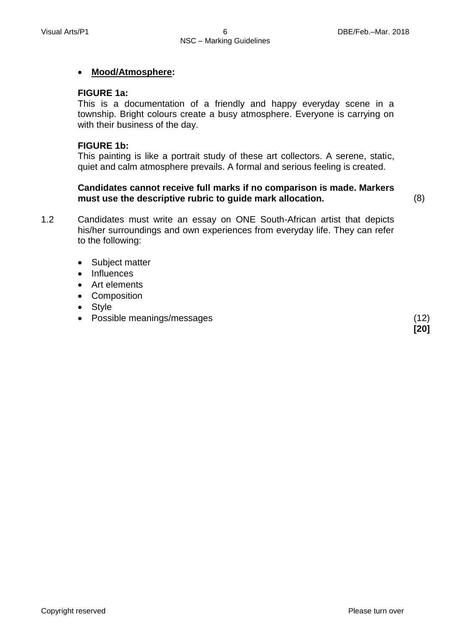## **Mood/Atmosphere:**

#### **FIGURE 1a:**

This is a documentation of a friendly and happy everyday scene in a township. Bright colours create a busy atmosphere. Everyone is carrying on with their business of the day.

## **FIGURE 1b:**

This painting is like a portrait study of these art collectors. A serene, static, quiet and calm atmosphere prevails. A formal and serious feeling is created.

#### **Candidates cannot receive full marks if no comparison is made. Markers must use the descriptive rubric to guide mark allocation.** (8)

**[20]**

1.2 Candidates must write an essay on ONE South-African artist that depicts his/her surroundings and own experiences from everyday life. They can refer to the following:

- Subject matter
- Influences
- Art elements
- Composition
- Style
- Possible meanings/messages (12)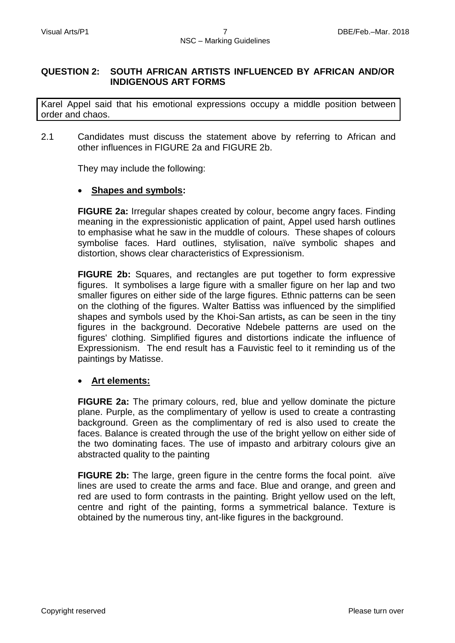## **QUESTION 2: SOUTH AFRICAN ARTISTS INFLUENCED BY AFRICAN AND/OR INDIGENOUS ART FORMS**

Karel Appel said that his emotional expressions occupy a middle position between order and chaos.

2.1 Candidates must discuss the statement above by referring to African and other influences in FIGURE 2a and FIGURE 2b.

They may include the following:

#### **Shapes and symbols:**

**FIGURE 2a:** Irregular shapes created by colour, become angry faces. Finding meaning in the expressionistic application of paint, Appel used harsh outlines to emphasise what he saw in the muddle of colours. These shapes of colours symbolise faces. Hard outlines, stylisation, naïve symbolic shapes and distortion, shows clear characteristics of Expressionism.

**FIGURE 2b:** Squares, and rectangles are put together to form expressive figures. It symbolises a large figure with a smaller figure on her lap and two smaller figures on either side of the large figures. Ethnic patterns can be seen on the clothing of the figures. Walter Battiss was influenced by the simplified shapes and symbols used by the Khoi-San artists**,** as can be seen in the tiny figures in the background. Decorative Ndebele patterns are used on the figures' clothing. Simplified figures and distortions indicate the influence of Expressionism. The end result has a Fauvistic feel to it reminding us of the paintings by Matisse.

## **Art elements:**

**FIGURE 2a:** The primary colours, red, blue and yellow dominate the picture plane. Purple, as the complimentary of yellow is used to create a contrasting background. Green as the complimentary of red is also used to create the faces. Balance is created through the use of the bright yellow on either side of the two dominating faces. The use of impasto and arbitrary colours give an abstracted quality to the painting

**FIGURE 2b:** The large, green figure in the centre forms the focal point. aïve lines are used to create the arms and face. Blue and orange, and green and red are used to form contrasts in the painting. Bright yellow used on the left, centre and right of the painting, forms a symmetrical balance. Texture is obtained by the numerous tiny, ant-like figures in the background.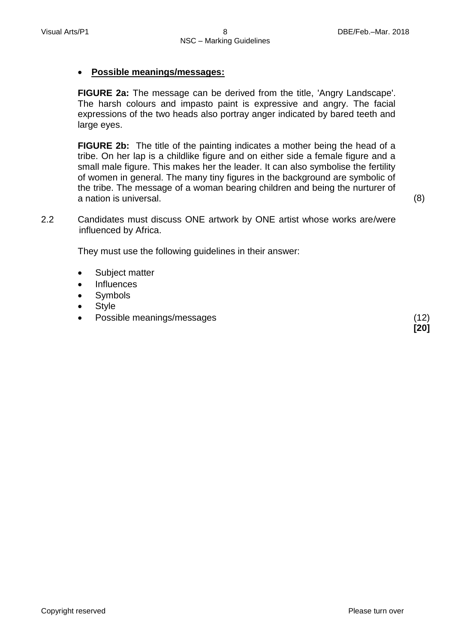## **Possible meanings/messages:**

**FIGURE 2a:** The message can be derived from the title, 'Angry Landscape'. The harsh colours and impasto paint is expressive and angry. The facial expressions of the two heads also portray anger indicated by bared teeth and large eyes.

**FIGURE 2b:** The title of the painting indicates a mother being the head of a tribe. On her lap is a childlike figure and on either side a female figure and a small male figure. This makes her the leader. It can also symbolise the fertility of women in general. The many tiny figures in the background are symbolic of the tribe. The message of a woman bearing children and being the nurturer of a nation is universal. (8)

**[20]**

2.2 Candidates must discuss ONE artwork by ONE artist whose works are/were influenced by Africa.

They must use the following guidelines in their answer:

- Subject matter
- Influences
- Symbols
- Style
- Possible meanings/messages (12)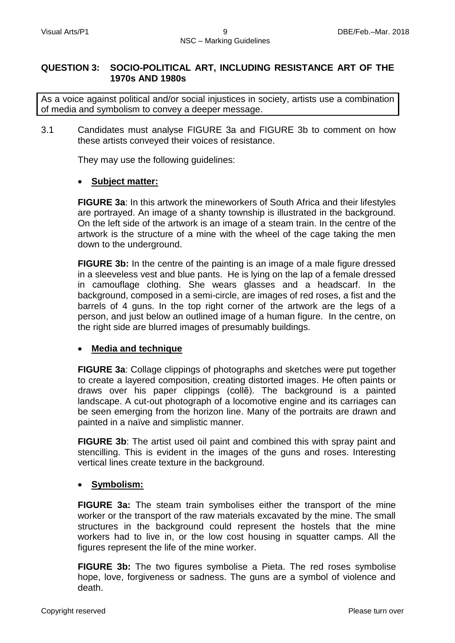#### **QUESTION 3: SOCIO-POLITICAL ART, INCLUDING RESISTANCE ART OF THE 1970s AND 1980s**

As a voice against political and/or social injustices in society, artists use a combination of media and symbolism to convey a deeper message.

3.1 Candidates must analyse FIGURE 3a and FIGURE 3b to comment on how these artists conveyed their voices of resistance.

They may use the following guidelines:

#### **Subject matter:**

**FIGURE 3a**: In this artwork the mineworkers of South Africa and their lifestyles are portrayed. An image of a shanty township is illustrated in the background. On the left side of the artwork is an image of a steam train. In the centre of the artwork is the structure of a mine with the wheel of the cage taking the men down to the underground.

**FIGURE 3b:** In the centre of the painting is an image of a male figure dressed in a sleeveless vest and blue pants. He is lying on the lap of a female dressed in camouflage clothing. She wears glasses and a headscarf. In the background, composed in a semi-circle, are images of red roses, a fist and the barrels of 4 guns. In the top right corner of the artwork are the legs of a person, and just below an outlined image of a human figure. In the centre, on the right side are blurred images of presumably buildings.

## **Media and technique**

**FIGURE 3a**: Collage clippings of photographs and sketches were put together to create a layered composition, creating distorted images. He often paints or draws over his paper clippings (collẽ). The background is a painted landscape. A cut-out photograph of a locomotive engine and its carriages can be seen emerging from the horizon line. Many of the portraits are drawn and painted in a naïve and simplistic manner.

**FIGURE 3b**: The artist used oil paint and combined this with spray paint and stencilling. This is evident in the images of the guns and roses. Interesting vertical lines create texture in the background.

## **Symbolism:**

**FIGURE 3a:** The steam train symbolises either the transport of the mine worker or the transport of the raw materials excavated by the mine. The small structures in the background could represent the hostels that the mine workers had to live in, or the low cost housing in squatter camps. All the figures represent the life of the mine worker.

**FIGURE 3b:** The two figures symbolise a Pieta. The red roses symbolise hope, love, forgiveness or sadness. The guns are a symbol of violence and death.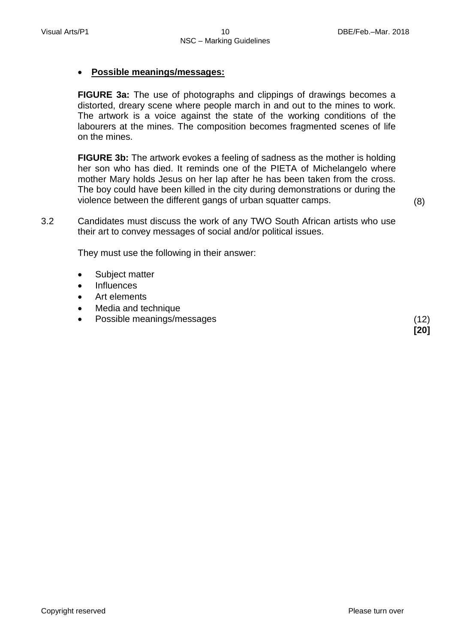## **Possible meanings/messages:**

**FIGURE 3a:** The use of photographs and clippings of drawings becomes a distorted, dreary scene where people march in and out to the mines to work. The artwork is a voice against the state of the working conditions of the labourers at the mines. The composition becomes fragmented scenes of life on the mines.

**FIGURE 3b:** The artwork evokes a feeling of sadness as the mother is holding her son who has died. It reminds one of the PIETA of Michelangelo where mother Mary holds Jesus on her lap after he has been taken from the cross. The boy could have been killed in the city during demonstrations or during the violence between the different gangs of urban squatter camps. (8)

3.2 Candidates must discuss the work of any TWO South African artists who use their art to convey messages of social and/or political issues.

They must use the following in their answer:

- Subject matter
- Influences
- Art elements
- Media and technique
- Possible meanings/messages (12)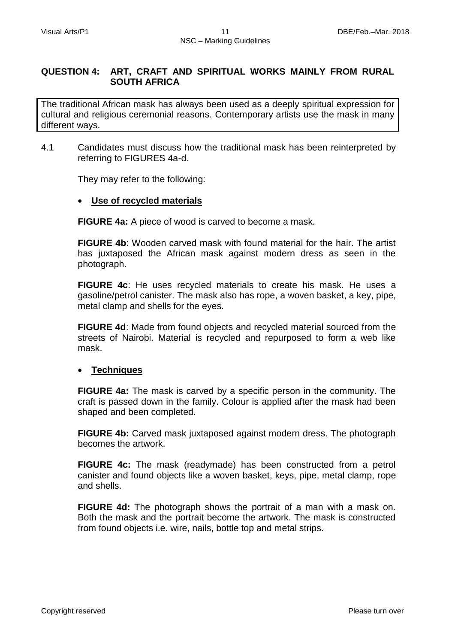## **QUESTION 4: ART, CRAFT AND SPIRITUAL WORKS MAINLY FROM RURAL SOUTH AFRICA**

The traditional African mask has always been used as a deeply spiritual expression for cultural and religious ceremonial reasons. Contemporary artists use the mask in many different ways.

4.1 Candidates must discuss how the traditional mask has been reinterpreted by referring to FIGURES 4a-d.

They may refer to the following:

## **Use of recycled materials**

**FIGURE 4a:** A piece of wood is carved to become a mask.

**FIGURE 4b**: Wooden carved mask with found material for the hair. The artist has juxtaposed the African mask against modern dress as seen in the photograph.

**FIGURE 4c**: He uses recycled materials to create his mask. He uses a gasoline/petrol canister. The mask also has rope, a woven basket, a key, pipe, metal clamp and shells for the eyes.

**FIGURE 4d**: Made from found objects and recycled material sourced from the streets of Nairobi. Material is recycled and repurposed to form a web like mask.

## **Techniques**

**FIGURE 4a:** The mask is carved by a specific person in the community. The craft is passed down in the family. Colour is applied after the mask had been shaped and been completed.

**FIGURE 4b:** Carved mask juxtaposed against modern dress. The photograph becomes the artwork.

**FIGURE 4c:** The mask (readymade) has been constructed from a petrol canister and found objects like a woven basket, keys, pipe, metal clamp, rope and shells.

**FIGURE 4d:** The photograph shows the portrait of a man with a mask on. Both the mask and the portrait become the artwork. The mask is constructed from found objects i.e. wire, nails, bottle top and metal strips.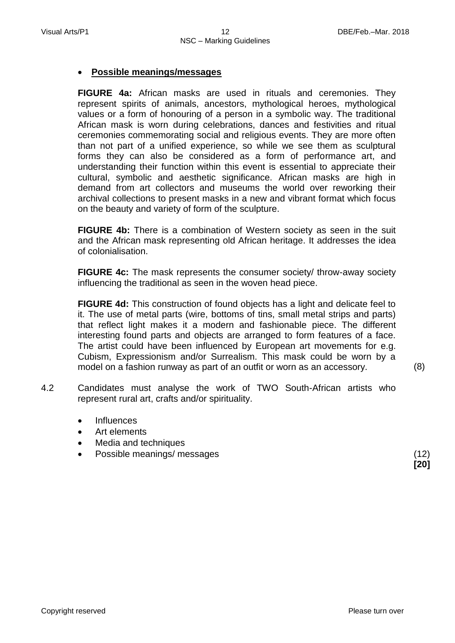## **Possible meanings/messages**

**FIGURE 4a:** African masks are used in rituals and ceremonies. They represent spirits of animals, ancestors, mythological heroes, mythological values or a form of honouring of a person in a symbolic way. The traditional African mask is worn during celebrations, dances and festivities and ritual ceremonies commemorating social and religious events. They are more often than not part of a unified experience, so while we see them as sculptural forms they can also be considered as a form of performance art, and understanding their function within this event is essential to appreciate their cultural, symbolic and aesthetic significance. African masks are high in demand from art collectors and museums the world over reworking their archival collections to present masks in a new and vibrant format which focus on the beauty and variety of form of the sculpture.

**FIGURE 4b:** There is a combination of Western society as seen in the suit and the African mask representing old African heritage. It addresses the idea of colonialisation.

**FIGURE 4c:** The mask represents the consumer society/ throw-away society influencing the traditional as seen in the woven head piece.

**FIGURE 4d:** This construction of found objects has a light and delicate feel to it. The use of metal parts (wire, bottoms of tins, small metal strips and parts) that reflect light makes it a modern and fashionable piece. The different interesting found parts and objects are arranged to form features of a face. The artist could have been influenced by European art movements for e.g. Cubism, Expressionism and/or Surrealism. This mask could be worn by a model on a fashion runway as part of an outfit or worn as an accessory. (8)

4.2 Candidates must analyse the work of TWO South-African artists who represent rural art, crafts and/or spirituality.

- Influences
- Art elements
- Media and techniques
- Possible meanings/ messages (12)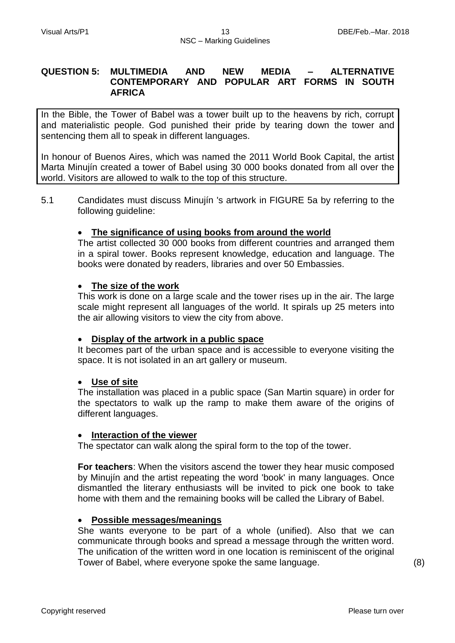#### **QUESTION 5: MULTIMEDIA AND NEW MEDIA – ALTERNATIVE CONTEMPORARY AND POPULAR ART FORMS IN SOUTH AFRICA**

In the Bible, the Tower of Babel was a tower built up to the heavens by rich, corrupt and materialistic people. God punished their pride by tearing down the tower and sentencing them all to speak in different languages.

In honour of Buenos Aires, which was named the 2011 World Book Capital, the artist Marta Minujín created a tower of Babel using 30 000 books donated from all over the world. Visitors are allowed to walk to the top of this structure.

5.1 Candidates must discuss Minujín 's artwork in FIGURE 5a by referring to the following guideline:

## **The significance of using books from around the world**

The artist collected 30 000 books from different countries and arranged them in a spiral tower. Books represent knowledge, education and language. The books were donated by readers, libraries and over 50 Embassies.

#### **The size of the work**

This work is done on a large scale and the tower rises up in the air. The large scale might represent all languages of the world. It spirals up 25 meters into the air allowing visitors to view the city from above.

#### **Display of the artwork in a public space**

It becomes part of the urban space and is accessible to everyone visiting the space. It is not isolated in an art gallery or museum.

#### **Use of site**

The installation was placed in a public space (San Martin square) in order for the spectators to walk up the ramp to make them aware of the origins of different languages.

#### **Interaction of the viewer**

The spectator can walk along the spiral form to the top of the tower.

**For teachers**: When the visitors ascend the tower they hear music composed by Minujín and the artist repeating the word 'book' in many languages. Once dismantled the literary enthusiasts will be invited to pick one book to take home with them and the remaining books will be called the Library of Babel.

#### **Possible messages/meanings**

She wants everyone to be part of a whole (unified). Also that we can communicate through books and spread a message through the written word. The unification of the written word in one location is reminiscent of the original Tower of Babel, where everyone spoke the same language. (8)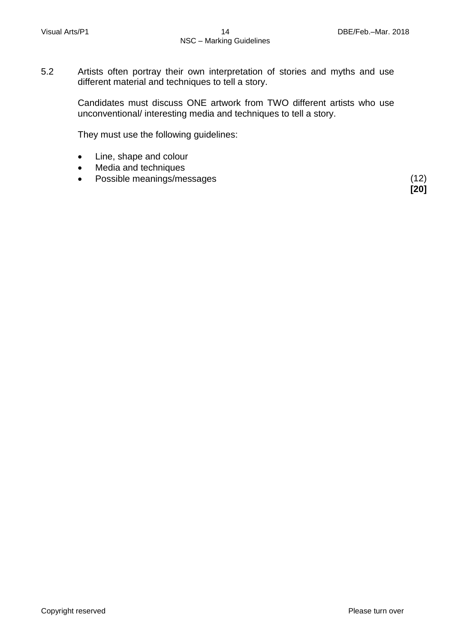5.2 Artists often portray their own interpretation of stories and myths and use different material and techniques to tell a story.

> Candidates must discuss ONE artwork from TWO different artists who use unconventional/ interesting media and techniques to tell a story.

They must use the following guidelines:

- Line, shape and colour
- Media and techniques
- Possible meanings/messages (12)

 **[20]**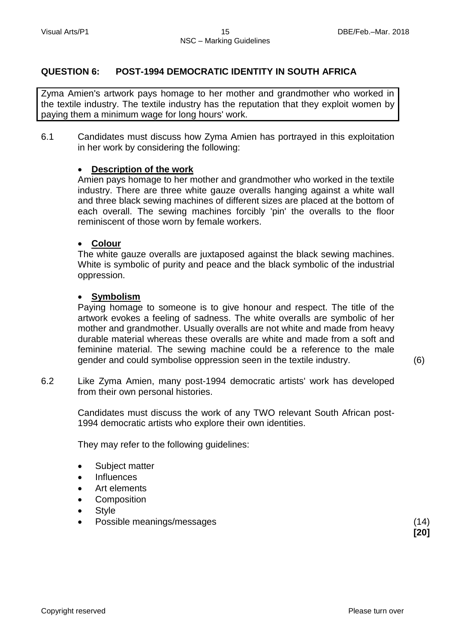## **QUESTION 6: POST-1994 DEMOCRATIC IDENTITY IN SOUTH AFRICA**

Zyma Amien's artwork pays homage to her mother and grandmother who worked in the textile industry. The textile industry has the reputation that they exploit women by paying them a minimum wage for long hours' work.

6.1 Candidates must discuss how Zyma Amien has portrayed in this exploitation in her work by considering the following:

#### **Description of the work**

Amien pays homage to her mother and grandmother who worked in the textile industry. There are three white gauze overalls hanging against a white wall and three black sewing machines of different sizes are placed at the bottom of each overall. The sewing machines forcibly 'pin' the overalls to the floor reminiscent of those worn by female workers.

#### **Colour**

The white gauze overalls are juxtaposed against the black sewing machines. White is symbolic of purity and peace and the black symbolic of the industrial oppression.

#### **Symbolism**

Paying homage to someone is to give honour and respect. The title of the artwork evokes a feeling of sadness. The white overalls are symbolic of her mother and grandmother. Usually overalls are not white and made from heavy durable material whereas these overalls are white and made from a soft and feminine material. The sewing machine could be a reference to the male gender and could symbolise oppression seen in the textile industry. (6)

6.2 Like Zyma Amien, many post-1994 democratic artists' work has developed from their own personal histories.

> Candidates must discuss the work of any TWO relevant South African post-1994 democratic artists who explore their own identities.

They may refer to the following guidelines:

- Subject matter
- Influences
- Art elements
- **Composition**
- Style
- Possible meanings/messages (14)

**[20]**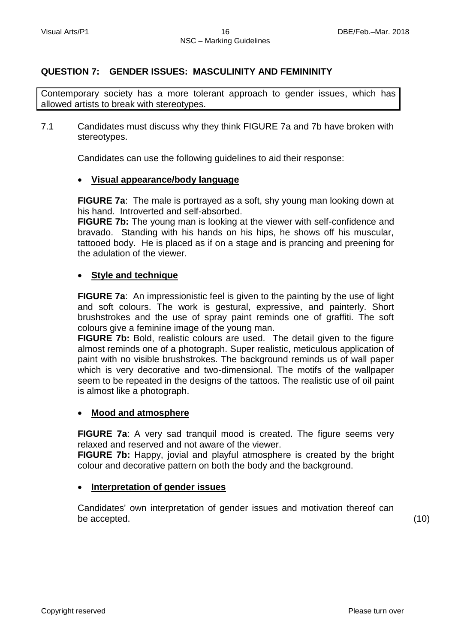## **QUESTION 7: GENDER ISSUES: MASCULINITY AND FEMININITY**

Contemporary society has a more tolerant approach to gender issues, which has allowed artists to break with stereotypes.

7.1 Candidates must discuss why they think FIGURE 7a and 7b have broken with stereotypes.

Candidates can use the following guidelines to aid their response:

#### **Visual appearance/body language**

**FIGURE 7a**: The male is portrayed as a soft, shy young man looking down at his hand. Introverted and self-absorbed.

**FIGURE 7b:** The young man is looking at the viewer with self-confidence and bravado. Standing with his hands on his hips, he shows off his muscular, tattooed body. He is placed as if on a stage and is prancing and preening for the adulation of the viewer.

#### **Style and technique**

**FIGURE 7a:** An impressionistic feel is given to the painting by the use of light and soft colours. The work is gestural, expressive, and painterly. Short brushstrokes and the use of spray paint reminds one of graffiti. The soft colours give a feminine image of the young man.

**FIGURE 7b:** Bold, realistic colours are used. The detail given to the figure almost reminds one of a photograph. Super realistic, meticulous application of paint with no visible brushstrokes. The background reminds us of wall paper which is very decorative and two-dimensional. The motifs of the wallpaper seem to be repeated in the designs of the tattoos. The realistic use of oil paint is almost like a photograph.

#### **Mood and atmosphere**

**FIGURE 7a**: A very sad tranquil mood is created. The figure seems very relaxed and reserved and not aware of the viewer.

**FIGURE 7b:** Happy, jovial and playful atmosphere is created by the bright colour and decorative pattern on both the body and the background.

## **Interpretation of gender issues**

Candidates' own interpretation of gender issues and motivation thereof can be accepted. (10)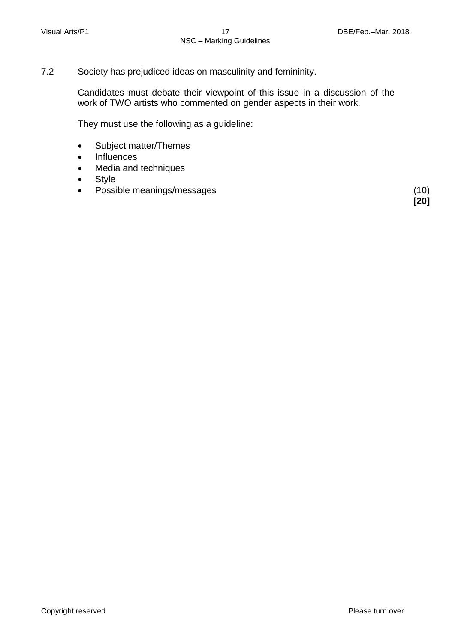7.2 Society has prejudiced ideas on masculinity and femininity.

Candidates must debate their viewpoint of this issue in a discussion of the work of TWO artists who commented on gender aspects in their work.

They must use the following as a guideline:

- Subject matter/Themes
- Influences
- Media and techniques
- Style
- Possible meanings/messages (10)

**[20]**